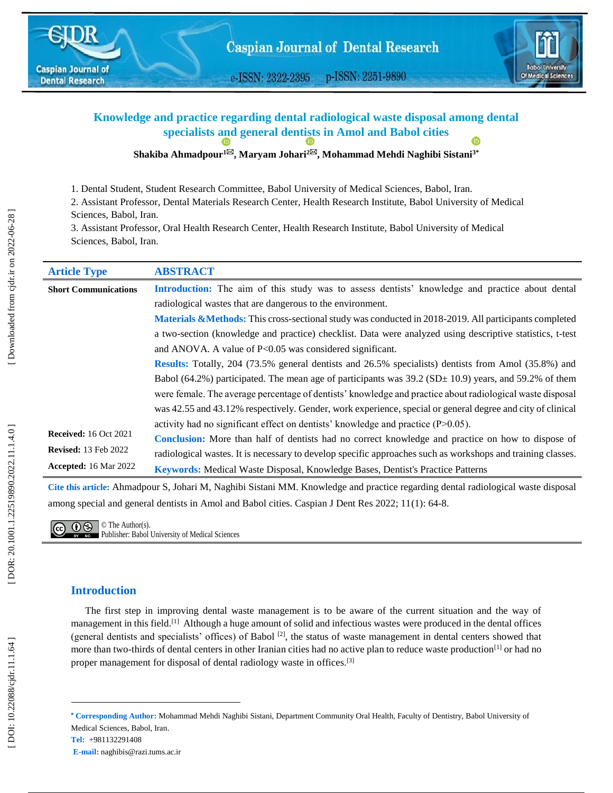e-ISSN: 2322-2395 p-ISSN: 2251-9890



# **Knowledge and practice regarding dental radiological waste disposal among dental specialists [an](https://orcid.org/0000-0002-8658-2499)d general dent[ist](https://orcid.org/0000-0002-1792-2971)s in Amol and Babol cities**

 $\boldsymbol{\mathrm{Shakiba\ Anmadpour}}^{1\boxtimes}, \boldsymbol{\mathrm{Maryam\ Johari}}^{2\boxtimes}, \boldsymbol{\mathrm{Mohammad\ Mehdi\ Naghibi\ Sistani}}^{3*}$ 

1 . Dental Student, Student Research Committee, Babol University of Medical Sciences, Babol, Iran.

2. Assistant Professor, Dental Materials Research Center, Health Research Institute, Babol University of Medical

Sciences, Babol, Iran.

3. Assistant Professor, Oral Health Research Center, Health Research Institute, Babol University of Medical Sciences, Babol, Iran.

| <b>Article Type</b>          | <b>ABSTRACT</b>                                                                                              |
|------------------------------|--------------------------------------------------------------------------------------------------------------|
| <b>Short Communications</b>  | Introduction: The aim of this study was to assess dentists' knowledge and practice about dental              |
|                              | radiological wastes that are dangerous to the environment.                                                   |
|                              | Materials & Methods: This cross-sectional study was conducted in 2018-2019. All participants completed       |
|                              | a two-section (knowledge and practice) checklist. Data were analyzed using descriptive statistics, t-test    |
|                              | and ANOVA. A value of $P<0.05$ was considered significant.                                                   |
|                              | <b>Results:</b> Totally, 204 (73.5% general dentists and 26.5% specialists) dentists from Amol (35.8%) and   |
|                              | Babol (64.2%) participated. The mean age of participants was $39.2$ (SD $\pm$ 10.9) years, and 59.2% of them |
|                              | were female. The average percentage of dentists' knowledge and practice about radiological waste disposal    |
|                              | was 42.55 and 43.12% respectively. Gender, work experience, special or general degree and city of clinical   |
|                              | activity had no significant effect on dentists' knowledge and practice $(P>0.05)$ .                          |
| <b>Received:</b> 16 Oct 2021 | <b>Conclusion:</b> More than half of dentists had no correct knowledge and practice on how to dispose of     |
| <b>Revised:</b> 13 Feb 2022  | radiological wastes. It is necessary to develop specific approaches such as workshops and training classes.  |
| <b>Accepted:</b> 16 Mar 2022 | Keywords: Medical Waste Disposal, Knowledge Bases, Dentist's Practice Patterns                               |

**Cite this article:** Ahmadpour S, Johari M, Naghibi Sistani MM. Knowledge and practice regarding dental radiological waste disposal among special and general dentists in Amol and Babol cities. Caspian J Dent Res 2022; 11(1) : 64 -8.

 $\overline{(c)}$   $\overline{0}$   $\overline{\odot}$  The Author(s). **BY NG** Publisher: Babol University of Medical Sciences

# **Introduction**

The first step in improving dental waste management is to be aware of the current situation and the way of management in this field.<sup>[1]</sup> Although a huge amount of solid and infectious wastes were produced in the dental offices (general dentists and specialists' offices) of Babol  $^{[2]}$ , the status of waste management in dental centers showed that more than two-thirds of dental centers in other Iranian cities had no active plan to reduce waste production<sup>[1]</sup> or had no proper management for disposal of dental radiology waste in offices.<sup>[3]</sup>

<sup>\*</sup> Corresponding Author: Mohammad Mehdi Naghibi Sistani, Department Community Oral Health, Faculty of Dentistry, Babol University of Medical Sciences, Babol, Iran .

**Tel :** +981132291408

**E -mail:** naghibis@razi.tums.ac.ir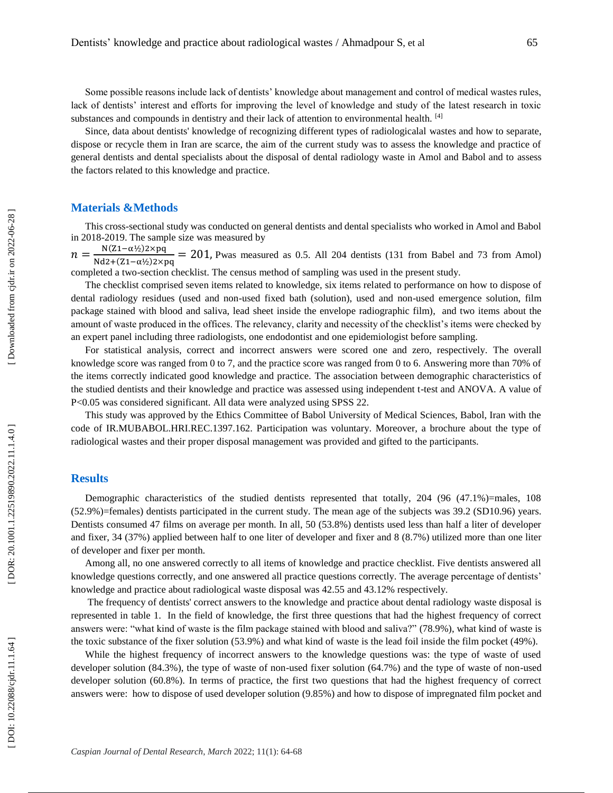Some possible reasons include lack of dentists' knowledge about management and control of medical wastes rules, lack of dentists' interest and efforts for improving the level of knowledge and study of the latest research in toxic substances and compounds in dentistry and their lack of attention to environmental health. [4]

Since, data about dentists' knowledge of recognizing different types of radiologicalal wastes and how to separate, dispose or recycle them in Iran are scarce, the aim of the current study was to assess the knowledge and practice of general dentists and dental specialists about the disposal of dental radiology waste in Amol and Babol and to assess the factors related to this knowledge and practice.

### **Materials &Methods**

This cross -sectional study was conducted on general dentists and dental specialists who worked in Amol and Babol in 2018 -2019. The sample size was measured by

 $\overline{n}$  $=\frac{N(21-\alpha^{2})2\times pq}{Nd2+(Z1-\alpha^{2})2\times pq}$  $N(Z1-\alpha \frac{1}{2})2 \times pq$  $= 201$ , Pwas measured as 0.5. All 204 dentists (131 from Babel and 73 from Amol) completed a two -section checklist. The census method of sampling was used in the present study.

The checklist comprised seven items related to knowledge, six items related to performance on how to dispose of dental radiology residues (used and non-used fixed bath (solution), used and non-used emergence solution, film package stained with blood and saliva, lead sheet inside the envelope radiographic film), and two items about the amount of waste produced in the offices. The relevancy, clarity and necessity of the checklist's items were checked by an expert panel including three radiologists, one endodontist and one epidemiologist before sampling.

For statistical analysis, correct and incorrect answers were scored one and zero, respectively. The overall knowledge score was ranged from 0 to 7, and the practice score was ranged from 0 to 6. Answering more than 70% of the items correctly indicated good knowledge and practice. The association between demographic characteristics of the studied dentists and their knowledge and practice was assessed using independent t -test and ANOVA. A value of P<0.05 was considered significant. All data were analyzed using SPSS 22.

This study was approved by the Ethics Committee of Babol University of Medical Sciences, Babol, Iran with the code of IR.MUBABOL.HRI.REC.1397.162. Participation was voluntary. Moreover, a brochure about the type of radiological wastes and their proper disposal management was provided and gifted to the participants.

#### **Results**

Demographic characteristics of the studied dentists represented that totally, 204 (96 (47.1%)=males, 108 (52.9%)=females) dentists participated in the current study. The mean age of the subjects was 39.2 (SD10.96) years. Dentists consumed 47 films on average per month. In all, 50 (53.8%) dentists used less than half a liter of developer and fixer, 34 (37%) applied between half to one liter of developer and fixer and 8 (8.7%) utilized more than one liter of developer and fixer per month.

Among all, no one answered correctly to all items of knowledge and practice checklist. Five dentists answered all knowledge questions correctly, and one answered all practice questions correctly. The average percentage of dentists' knowledge and practice about radiological waste disposal was 42.55 and 43.12% respectively.

The frequency of dentists' correct answers to the knowledge and practice about dental radiology waste disposal is represented in table 1. In the field of knowledge, the first three questions that had the highest frequency of correct answers were: "what kind of waste is the film package stained with blood and saliva?" (78.9%), what kind of waste is the toxic substance of the fixer solution (53.9%) and what kind of waste is the lead foil inside the film pocket (49%).

While the highest frequency of incorrect answers to the knowledge questions was: the type of waste of used developer solution (84.3%), the type of waste of non -used fixer solution (64.7%) and the type of waste of non -used developer solution (60.8%). In terms of practice, the first two questions that had the highest frequency of correct answers were: how to dispose of used developer solution (9.85%) and how to dispose of impregnated film pocket and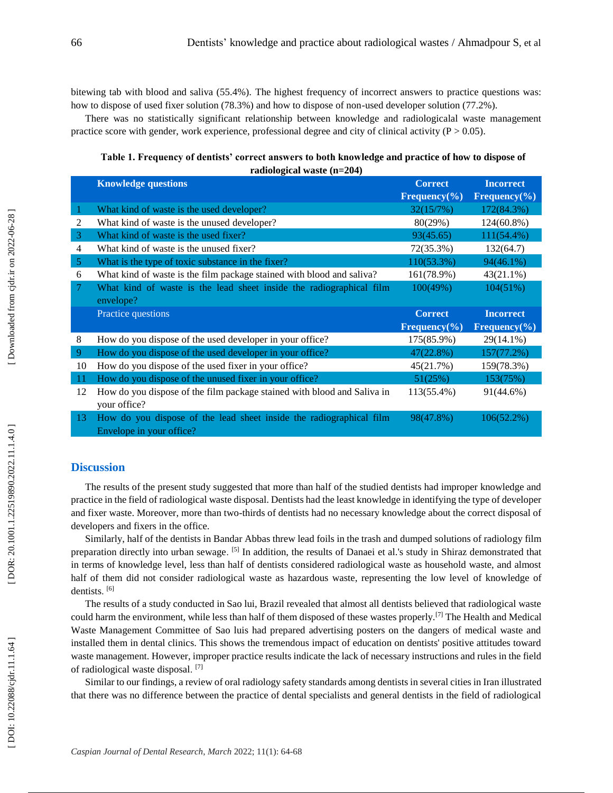bitewing tab with blood and saliva (55.4%). The highest frequency of incorrect answers to practice questions was: how to dispose of used fixer solution (78.3%) and how to dispose of non -used developer solution (77.2%).

There was no statistically significant relationship between knowledge and radiologicalal waste management practice score with gender, work experience, professional degree and city of clinical activity ( $P > 0.05$ ).

**Table 1. Frequency of dentists' correct answers to both knowledge and practice of how to dispose of radiological waste (n=204)**

|                | <b>Knowledge questions</b>                                                       | <b>Correct</b>    | <b>Incorrect</b>  |
|----------------|----------------------------------------------------------------------------------|-------------------|-------------------|
|                |                                                                                  | Frequency $(\% )$ | Frequency $(\% )$ |
| -1             | What kind of waste is the used developer?                                        | 32(15/7%)         | 172(84.3%)        |
| 2              | What kind of waste is the unused developer?                                      | 80(29%)           | $124(60.8\%)$     |
| 3              | What kind of waste is the used fixer?                                            | 93(45.65)         | 111(54.4%)        |
| 4              | What kind of waste is the unused fixer?                                          | 72(35.3%)         | 132(64.7)         |
| $\overline{5}$ | What is the type of toxic substance in the fixer?                                | 110(53.3%)        | $94(46.1\%)$      |
| 6              | What kind of waste is the film package stained with blood and saliva?            | 161(78.9%)        | $43(21.1\%)$      |
| 7              | What kind of waste is the lead sheet inside the radiographical film<br>envelope? | 100(49%)          | 104(51%)          |
|                |                                                                                  |                   |                   |
|                | Practice questions                                                               | <b>Correct</b>    | <b>Incorrect</b>  |
|                |                                                                                  | Frequency $(\% )$ | Frequency $(\% )$ |
| 8              | How do you dispose of the used developer in your office?                         | 175(85.9%)        | 29(14.1%)         |
| 9              | How do you dispose of the used developer in your office?                         | 47(22.8%)         | 157(77.2%)        |
| 10             | How do you dispose of the used fixer in your office?                             | 45(21.7%)         | 159(78.3%)        |
| -11            | How do you dispose of the unused fixer in your office?                           | 51(25%)           | 153(75%)          |
| 12             | How do you dispose of the film package stained with blood and Saliva in          | 113(55.4%)        | 91(44.6%)         |
|                | your office?                                                                     |                   |                   |

## **Discussion**

The results of the present study suggested that more than half of the studied dentists had improper knowledge and practice in the field of radiological waste disposal. Dentists had the least knowledge in identifying the type of developer and fixer waste. Moreover, more than two -thirds of dentists had no necessary knowledge about the correct disposal of developers and fixers in the office.

Similarly, half of the dentists in Bandar Abbas threw lead foils in the trash and dumped solutions of radiology film preparation directly into urban sewage. [5] In addition, the results of Danaei et al.'s study in Shiraz demonstrated that in terms of knowledge level, less than half of dentists considered radiological waste as household waste, and almost half of them did not consider radiological waste as hazardous waste, representing the low level of knowledge of dentists.<sup>[6]</sup>

The results of a study conducted in Sao lui, Brazil revealed that almost all dentists believed that radiological waste could harm the environment, while less than half of them disposed of these wastes properly.[7] The Health and Medical Waste Management Committee of Sao luis had prepared advertising posters on the dangers of medical waste and installed them in dental clinics. This shows the tremendous impact of education on dentists' positive attitudes toward waste management. However, improper practice results indicate the lack of necessary instructions and rules in the field of radiological waste disposal.<sup>[7]</sup>

Similar to our findings, a review of oral radiology safety standards among dentists in several cities in Iran illustrated that there was no difference between the practice of dental specialists and general dentists in the field of radiological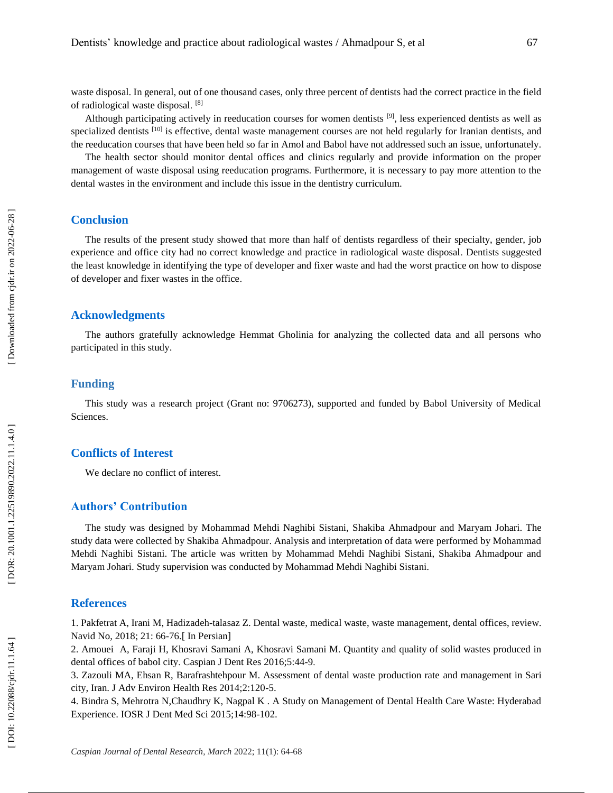waste disposal. In general, out of one thousand cases, only three percent of dentists had the correct practice in the field of radiological waste disposal. [8]

Although participating actively in reeducation courses for women dentists  $[9]$ , less experienced dentists as well as specialized dentists <sup>[10]</sup> is effective, dental waste management courses are not held regularly for Iranian dentists, and the reeducation courses that have been held so far in Amol and Babol have not addressed such an issue, unfortunately.

The health sector should monitor dental offices and clinics regularly and provide information on the proper management of waste disposal using reeducation programs. Furthermore, it is necessary to pay more attention to the dental wastes in the environment and include this issue in the dentistry curriculum.

# **Conclusion**

The results of the present study showed that more than half of dentists regardless of their specialty, gender, job experience and office city had no correct knowledge and practice in radiological waste disposal . Dentists suggested the least knowledge in identifying the type of developer and fixer waste and had the worst practice on how to dispose of developer and fixer wastes in the office .

## **Acknowledgment s**

The authors gratefully acknowledge Hemmat Gholinia for analyzing the collected data and all persons who participated in this study.

## **Funding**

This study was a research project (Grant no: 9706273), supported and funded by Babol University of Medical Sciences.

## **Conflicts of Interest**

We declare no conflict of interest.

# **Authors' Contribution**

The study was designed by Mohammad Mehdi Naghibi Sistani, Shakiba Ahmadpour and Maryam Johari. The study data were collected by Shakiba Ahmadpour. Analysis and interpretation of data were performed by Mohammad Mehdi Naghibi Sistani. The article was written by Mohammad Mehdi Naghibi Sistani, Shakiba Ahmadpour and Maryam Johari. Study supervision was conducted by Mohammad Mehdi Naghibi Sistani.

#### **References**

1. Pakfetrat A, Irani M, Hadizadeh -talasaz Z. Dental waste, medical waste, waste management, dental offices, review. Navid No, 2018; 21: 66 -76.[ In Persian]

2. Amouei A, Faraji H, Khosravi Samani A, Khosravi Samani M. Quantity and quality of solid wastes produced in dental offices of babol city. Caspian J Dent Res 2016;5:44-9.

3. Zazouli MA, Ehsan R, Barafrashtehpour M. Assessment of dental waste production rate and management in Sari city, Iran. J Adv Environ Health Res 2014;2:120 -5.

4. Bindra S, Mehrotra N,Chaudhry K, Nagpal K . A Study on Management of Dental Health Care Waste: Hyderabad Experience. IOSR J Dent Med Sci 2015;14:98-102.